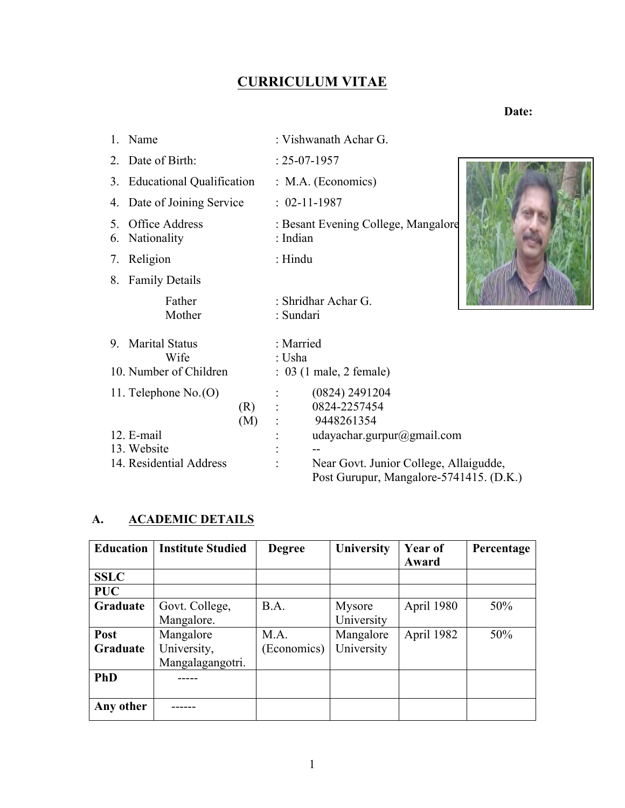## **CURRICULUM VITAE**

 **Date:**

|          | 1. Name                       |            |                     | : Vishwanath Achar G.                                                             |  |
|----------|-------------------------------|------------|---------------------|-----------------------------------------------------------------------------------|--|
|          | 2. Date of Birth:             |            |                     | $: 25-07-1957$                                                                    |  |
|          | 3. Educational Qualification  |            |                     | $: M.A.$ (Economics)                                                              |  |
|          | 4. Date of Joining Service    |            |                     | $: 02-11-1987$                                                                    |  |
| 5.<br>6. | Office Address<br>Nationality |            | : Indian            | : Besant Evening College, Mangalore                                               |  |
|          | 7. Religion                   |            | $:$ Hindu           |                                                                                   |  |
|          | 8. Family Details             |            |                     |                                                                                   |  |
|          | Father<br>Mother              |            | : Sundari           | : Shridhar Achar G.                                                               |  |
|          | 9. Marital Status<br>Wife     |            | : Married<br>: Usha |                                                                                   |  |
|          | 10. Number of Children        |            |                     | $: 03$ (1 male, 2 female)                                                         |  |
|          | 11. Telephone $No.$ (O)       | (R)<br>(M) |                     | (0824) 2491204<br>0824-2257454<br>9448261354                                      |  |
|          | 12. E-mail<br>13. Website     |            |                     | udayachar.gurpur@gmail.com                                                        |  |
|          | 14. Residential Address       |            |                     | Near Govt. Junior College, Allaigudde,<br>Post Gurupur, Mangalore-5741415. (D.K.) |  |

### **A. ACADEMIC DETAILS**

| <b>Education</b> | <b>Institute Studied</b>                     | <b>Degree</b>       | University              | <b>Year of</b><br>Award | Percentage |
|------------------|----------------------------------------------|---------------------|-------------------------|-------------------------|------------|
| <b>SSLC</b>      |                                              |                     |                         |                         |            |
| <b>PUC</b>       |                                              |                     |                         |                         |            |
| Graduate         | Govt. College,<br>Mangalore.                 | B.A.                | Mysore<br>University    | April 1980              | 50%        |
| Post<br>Graduate | Mangalore<br>University,<br>Mangalagangotri. | M.A.<br>(Economics) | Mangalore<br>University | April 1982              | 50%        |
| <b>PhD</b>       |                                              |                     |                         |                         |            |
| Any other        |                                              |                     |                         |                         |            |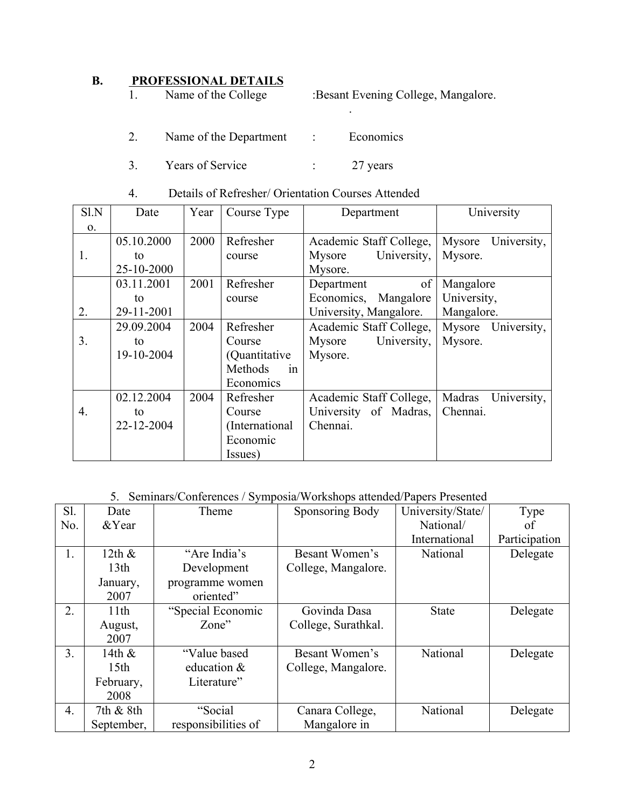# **B. PROFESSIONAL DETAILS**<br>1. Name of the College

:Besant Evening College, Mangalore.

.

- 2. Name of the Department : Economics
- 3. Years of Service : 27 years
- 4. Details of Refresher/ Orientation Courses Attended

| Sl.N             | Date       | Year | Course Type    | Department              | University            |  |
|------------------|------------|------|----------------|-------------------------|-----------------------|--|
| $\mathbf{O}$ .   |            |      |                |                         |                       |  |
|                  | 05.10.2000 | 2000 | Refresher      | Academic Staff College, | Mysore<br>University, |  |
| 1.               | to         |      | course         | University,<br>Mysore   | Mysore.               |  |
|                  | 25-10-2000 |      |                | Mysore.                 |                       |  |
|                  | 03.11.2001 | 2001 | Refresher      | of<br>Department        | Mangalore             |  |
|                  | to         |      | course         | Economics,<br>Mangalore | University,           |  |
| 2.               | 29-11-2001 |      |                | University, Mangalore.  | Mangalore.            |  |
|                  | 29.09.2004 | 2004 | Refresher      | Academic Staff College, | Mysore<br>University, |  |
| 3.               | to         |      | Course         | University,<br>Mysore   | Mysore.               |  |
|                  | 19-10-2004 |      | (Quantitative) | Mysore.                 |                       |  |
|                  |            |      | Methods<br>1n  |                         |                       |  |
|                  |            |      | Economics      |                         |                       |  |
|                  | 02.12.2004 | 2004 | Refresher      | Academic Staff College, | Madras<br>University, |  |
| $\overline{4}$ . | to         |      | Course         | University of Madras,   | Chennai.              |  |
|                  | 22-12-2004 |      | (International | Chennai.                |                       |  |
|                  |            |      | Economic       |                         |                       |  |
|                  |            |      | Issues)        |                         |                       |  |

#### 5. Seminars/Conferences / Symposia/Workshops attended/Papers Presented

| S1.              | Date             | Theme               | Sponsoring Body     | University/State/ | Type          |
|------------------|------------------|---------------------|---------------------|-------------------|---------------|
| No.              | &Year            |                     |                     | National/         | οf            |
|                  |                  |                     |                     | International     | Participation |
| 1.               | 12th $\&$        | "Are India's        | Besant Women's      | National          | Delegate      |
|                  | 13 <sub>th</sub> | Development         | College, Mangalore. |                   |               |
|                  | January,         | programme women     |                     |                   |               |
|                  | 2007             | oriented"           |                     |                   |               |
| 2.               | 11th             | "Special Economic   | Govinda Dasa        | <b>State</b>      | Delegate      |
|                  | August,          | Zone"               | College, Surathkal. |                   |               |
|                  | 2007             |                     |                     |                   |               |
| 3 <sub>1</sub>   | 14th $\&$        | "Value based"       | Besant Women's      | National          | Delegate      |
|                  | 15 <sub>th</sub> | education &         | College, Mangalore. |                   |               |
|                  | February,        | Literature"         |                     |                   |               |
|                  | 2008             |                     |                     |                   |               |
| $\overline{4}$ . | 7th & 8th        | "Social             | Canara College,     | National          | Delegate      |
|                  | September,       | responsibilities of | Mangalore in        |                   |               |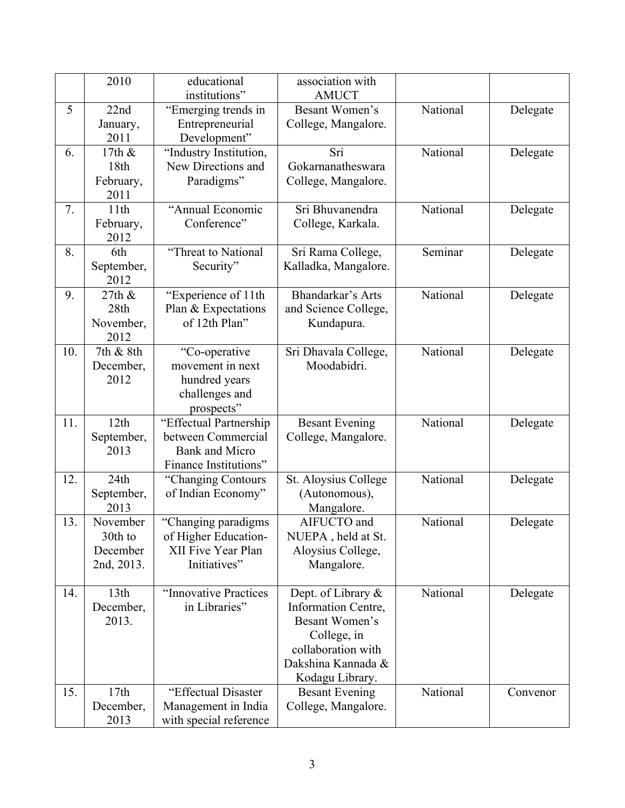|     | 2010                                          | educational<br>institutions"                                                                   | association with<br><b>AMUCT</b>                                                                                                          |          |          |
|-----|-----------------------------------------------|------------------------------------------------------------------------------------------------|-------------------------------------------------------------------------------------------------------------------------------------------|----------|----------|
| 5   | 22nd<br>January,<br>2011                      | "Emerging trends in<br>Entrepreneurial<br>Development"                                         | Besant Women's<br>College, Mangalore.                                                                                                     | National | Delegate |
| 6.  | 17th &<br>18th<br>February,<br>2011           | "Industry Institution,<br>New Directions and<br>Paradigms"                                     | Sri<br>Gokarnanatheswara<br>College, Mangalore.                                                                                           | National | Delegate |
| 7.  | 11th<br>February,<br>2012                     | "Annual Economic<br>Conference"                                                                | Sri Bhuvanendra<br>College, Karkala.                                                                                                      | National | Delegate |
| 8.  | 6th<br>September,<br>2012                     | "Threat to National<br>Security"                                                               | Sri Rama College,<br>Kalladka, Mangalore.                                                                                                 | Seminar  | Delegate |
| 9.  | 27th &<br>28th<br>November,<br>2012           | "Experience of 11th<br>Plan & Expectations<br>of 12th Plan"                                    | Bhandarkar's Arts<br>and Science College,<br>Kundapura.                                                                                   | National | Delegate |
| 10. | 7th & 8th<br>December,<br>2012                | "Co-operative<br>movement in next<br>hundred years<br>challenges and<br>prospects"             | Sri Dhavala College,<br>Moodabidri.                                                                                                       | National | Delegate |
| 11. | 12th<br>September,<br>2013                    | "Effectual Partnership<br>between Commercial<br><b>Bank and Micro</b><br>Finance Institutions" | <b>Besant Evening</b><br>College, Mangalore.                                                                                              | National | Delegate |
| 12. | 24th<br>September,<br>2013                    | "Changing Contours<br>of Indian Economy"                                                       | St. Aloysius College<br>(Autonomous),<br>Mangalore.                                                                                       | National | Delegate |
| 13. | November<br>30th to<br>December<br>2nd, 2013. | "Changing paradigms<br>of Higher Education-<br>XII Five Year Plan<br>Initiatives"              | AIFUCTO and<br>NUEPA, held at St.<br>Aloysius College,<br>Mangalore.                                                                      | National | Delegate |
| 14. | 13th<br>December,<br>2013.                    | "Innovative Practices<br>in Libraries"                                                         | Dept. of Library &<br>Information Centre,<br>Besant Women's<br>College, in<br>collaboration with<br>Dakshina Kannada &<br>Kodagu Library. | National | Delegate |
| 15. | 17th<br>December,<br>2013                     | "Effectual Disaster<br>Management in India<br>with special reference                           | <b>Besant Evening</b><br>College, Mangalore.                                                                                              | National | Convenor |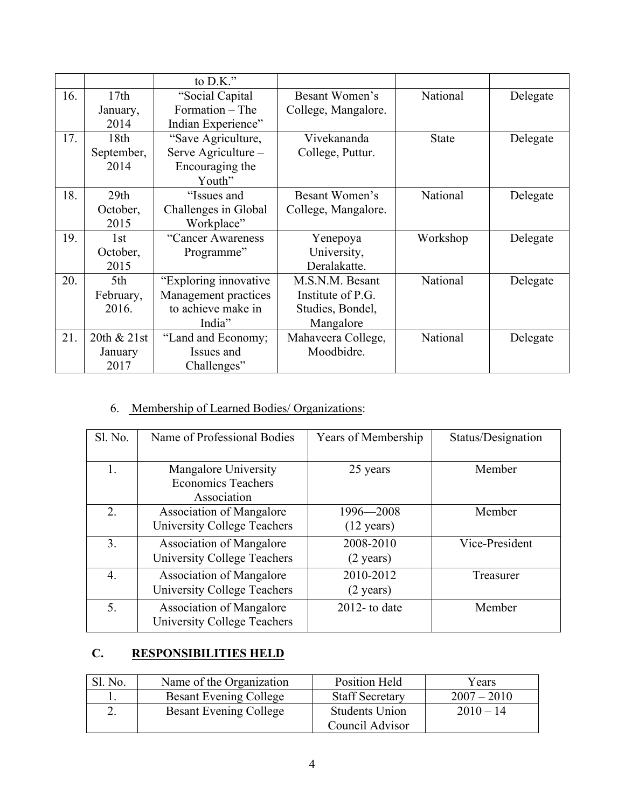|     |             | to $D.K.''$           |                     |              |          |
|-----|-------------|-----------------------|---------------------|--------------|----------|
| 16. | 17th        | "Social Capital       | Besant Women's      | National     | Delegate |
|     | January,    | Formation – The       | College, Mangalore. |              |          |
|     | 2014        | Indian Experience"    |                     |              |          |
| 17. | 18th        | "Save Agriculture,    | Vivekananda         | <b>State</b> | Delegate |
|     | September,  | Serve Agriculture –   | College, Puttur.    |              |          |
|     | 2014        | Encouraging the       |                     |              |          |
|     |             | Youth"                |                     |              |          |
| 18. | 29th        | "Issues and           | Besant Women's      | National     | Delegate |
|     | October,    | Challenges in Global  | College, Mangalore. |              |          |
|     | 2015        | Workplace"            |                     |              |          |
| 19. | 1st         | "Cancer Awareness     | Yenepoya            | Workshop     | Delegate |
|     | October,    | Programme"            | University,         |              |          |
|     | 2015        |                       | Deralakatte.        |              |          |
| 20. | 5th         | "Exploring innovative | M.S.N.M. Besant     | National     | Delegate |
|     | February,   | Management practices  | Institute of P.G.   |              |          |
|     | 2016.       | to achieve make in    | Studies, Bondel,    |              |          |
|     |             | India"                | Mangalore           |              |          |
| 21. | 20th & 21st | "Land and Economy;    | Mahaveera College,  | National     | Delegate |
|     | January     | Issues and            | Moodbidre.          |              |          |
|     | 2017        | Challenges"           |                     |              |          |

## 6. Membership of Learned Bodies/ Organizations:

| Sl. No.        | Name of Professional Bodies                                           | Years of Membership               | Status/Designation |
|----------------|-----------------------------------------------------------------------|-----------------------------------|--------------------|
| 1.             | Mangalore University<br><b>Economics Teachers</b><br>Association      | 25 years                          | Member             |
| 2.             | <b>Association of Mangalore</b><br><b>University College Teachers</b> | 1996-2008<br>$(12 \text{ years})$ | Member             |
| 3 <sub>1</sub> | <b>Association of Mangalore</b><br><b>University College Teachers</b> | 2008-2010<br>$(2 \text{ years})$  | Vice-President     |
| 4.             | <b>Association of Mangalore</b><br><b>University College Teachers</b> | 2010-2012<br>$(2 \text{ years})$  | Treasurer          |
| 5.             | <b>Association of Mangalore</b><br><b>University College Teachers</b> | $2012$ - to date                  | Member             |

## **C. RESPONSIBILITIES HELD**

| Sl. No. | Name of the Organization      | Position Held                            | Years         |
|---------|-------------------------------|------------------------------------------|---------------|
|         | <b>Besant Evening College</b> | <b>Staff Secretary</b>                   | $2007 - 2010$ |
|         | <b>Besant Evening College</b> | <b>Students Union</b><br>Council Advisor | $2010 - 14$   |